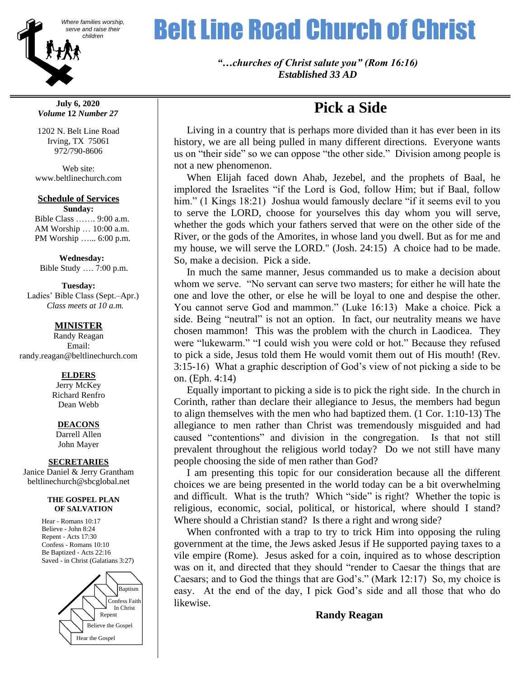

**July 6, 2020** *Volume* **12** *Number 27*

1202 N. Belt Line Road Irving, TX 75061 972/790-8606

Web site: www.beltlinechurch.com

### **Schedule of Services**

**Sunday:** Bible Class ……. 9:00 a.m. AM Worship … 10:00 a.m. PM Worship …... 6:00 p.m.

 **Wednesday:** Bible Study …. 7:00 p.m.

**Tuesday:** Ladies' Bible Class (Sept.–Apr.)

 *Class meets at 10 a.m.*

## **MINISTER**

Randy Reagan Email: randy.reagan@beltlinechurch.com

#### **ELDERS**

Jerry McKey Richard Renfro Dean Webb

## **DEACONS**

Darrell Allen John Mayer

#### **SECRETARIES**

Janice Daniel & Jerry Grantham beltlinechurch@sbcglobal.net

#### **THE GOSPEL PLAN OF SALVATION**

Hear - Romans 10:17 Believe - John 8:24 Repent - Acts 17:30 Confess - Romans 10:10 Be Baptized - Acts 22:16 Saved - in Christ (Galatians 3:27)



# Where families worship, **Belt Line Road Church of Christ**

*"…churches of Christ salute you" (Rom 16:16) Established 33 AD*

# **Pick a Side**

 Living in a country that is perhaps more divided than it has ever been in its history, we are all being pulled in many different directions. Everyone wants us on "their side" so we can oppose "the other side." Division among people is not a new phenomenon.

 When Elijah faced down Ahab, Jezebel, and the prophets of Baal, he implored the Israelites "if the Lord is God, follow Him; but if Baal, follow him." (1 Kings 18:21) Joshua would famously declare "if it seems evil to you to serve the LORD, choose for yourselves this day whom you will serve, whether the gods which your fathers served that were on the other side of the River, or the gods of the Amorites, in whose land you dwell. But as for me and my house, we will serve the LORD." (Josh. 24:15) A choice had to be made. So, make a decision. Pick a side.

 In much the same manner, Jesus commanded us to make a decision about whom we serve. "No servant can serve two masters; for either he will hate the one and love the other, or else he will be loyal to one and despise the other. You cannot serve God and mammon." (Luke 16:13) Make a choice. Pick a side. Being "neutral" is not an option. In fact, our neutrality means we have chosen mammon! This was the problem with the church in Laodicea. They were "lukewarm." "I could wish you were cold or hot." Because they refused to pick a side, Jesus told them He would vomit them out of His mouth! (Rev. 3:15-16) What a graphic description of God's view of not picking a side to be on. (Eph. 4:14)

 Equally important to picking a side is to pick the right side. In the church in Corinth, rather than declare their allegiance to Jesus, the members had begun to align themselves with the men who had baptized them. (1 Cor. 1:10-13) The allegiance to men rather than Christ was tremendously misguided and had caused "contentions" and division in the congregation. Is that not still prevalent throughout the religious world today? Do we not still have many people choosing the side of men rather than God?

 I am presenting this topic for our consideration because all the different choices we are being presented in the world today can be a bit overwhelming and difficult. What is the truth? Which "side" is right? Whether the topic is religious, economic, social, political, or historical, where should I stand? Where should a Christian stand? Is there a right and wrong side?

 When confronted with a trap to try to trick Him into opposing the ruling government at the time, the Jews asked Jesus if He supported paying taxes to a vile empire (Rome). Jesus asked for a coin, inquired as to whose description was on it, and directed that they should "render to Caesar the things that are Caesars; and to God the things that are God's." (Mark 12:17) So, my choice is easy. At the end of the day, I pick God's side and all those that who do likewise.

## **Randy Reagan**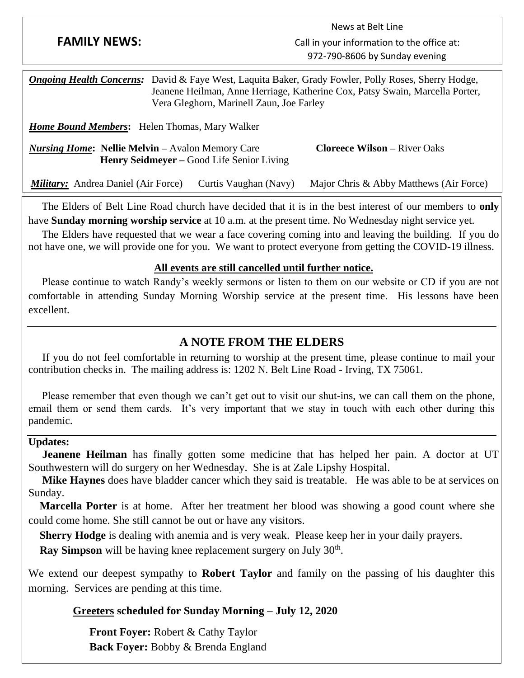|                                                                                                                                                                                                                                           |                                           | News at Belt Line                          |
|-------------------------------------------------------------------------------------------------------------------------------------------------------------------------------------------------------------------------------------------|-------------------------------------------|--------------------------------------------|
| <b>FAMILY NEWS:</b>                                                                                                                                                                                                                       |                                           | Call in your information to the office at: |
|                                                                                                                                                                                                                                           |                                           | 972-790-8606 by Sunday evening             |
| David & Faye West, Laquita Baker, Grady Fowler, Polly Roses, Sherry Hodge,<br><b>Ongoing Health Concerns:</b><br>Jeanene Heilman, Anne Herriage, Katherine Cox, Patsy Swain, Marcella Porter,<br>Vera Gleghorn, Marinell Zaun, Joe Farley |                                           |                                            |
| <b>Home Bound Members:</b> Helen Thomas, Mary Walker                                                                                                                                                                                      |                                           |                                            |
| <i>Nursing Home:</i> Nellie Melvin – Avalon Memory Care                                                                                                                                                                                   | Henry Seidmeyer – Good Life Senior Living | <b>Cloreece Wilson – River Oaks</b>        |
| <b><i>Military:</i></b> Andrea Daniel (Air Force)                                                                                                                                                                                         | Curtis Vaughan (Navy)                     | Major Chris & Abby Matthews (Air Force)    |

 The Elders of Belt Line Road church have decided that it is in the best interest of our members to **only** have **Sunday morning worship service** at 10 a.m. at the present time. No Wednesday night service yet.

 The Elders have requested that we wear a face covering coming into and leaving the building. If you do not have one, we will provide one for you. We want to protect everyone from getting the COVID-19 illness.

## **All events are still cancelled until further notice.**

 Please continue to watch Randy's weekly sermons or listen to them on our website or CD if you are not comfortable in attending Sunday Morning Worship service at the present time. His lessons have been excellent.

## **A NOTE FROM THE ELDERS**

 If you do not feel comfortable in returning to worship at the present time, please continue to mail your contribution checks in. The mailing address is: 1202 N. Belt Line Road - Irving, TX 75061.

 Please remember that even though we can't get out to visit our shut-ins, we can call them on the phone, email them or send them cards. It's very important that we stay in touch with each other during this pandemic.

## **Updates:**

**Jeanene Heilman** has finally gotten some medicine that has helped her pain. A doctor at UT Southwestern will do surgery on her Wednesday. She is at Zale Lipshy Hospital.

 **Mike Haynes** does have bladder cancer which they said is treatable. He was able to be at services on Sunday.

 **Marcella Porter** is at home. After her treatment her blood was showing a good count where she could come home. She still cannot be out or have any visitors.

 **Sherry Hodge** is dealing with anemia and is very weak. Please keep her in your daily prayers.

**Ray Simpson** will be having knee replacement surgery on July 30<sup>th</sup>.

We extend our deepest sympathy to **Robert Taylor** and family on the passing of his daughter this morning. Services are pending at this time.

## **Greeters scheduled for Sunday Morning – July 12, 2020**

 **Front Foyer:** Robert & Cathy Taylor  **Back Foyer:** Bobby & Brenda England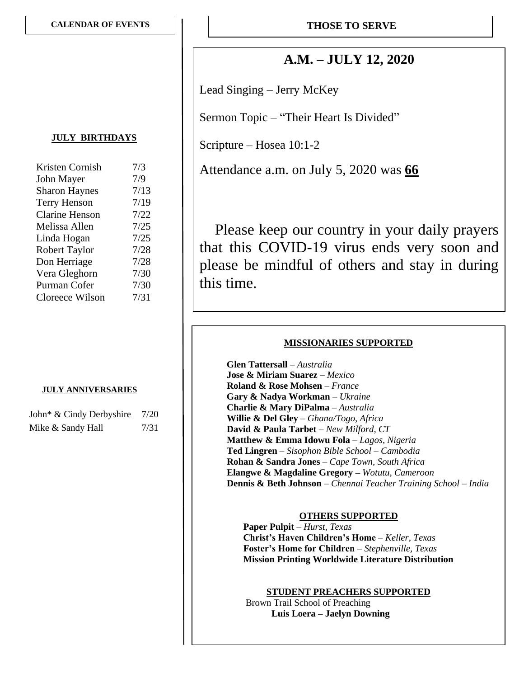## **A.M. – JULY 12, 2020**

Lead Singing – Jerry McKey

Sermon Topic – "Their Heart Is Divided"

Scripture – Hosea 10:1-2

Attendance a.m. on July 5, 2020 was **66**

Please keep our country in your daily prayers that this COVID-19 virus ends very soon and please be mindful of others and stay in during this time.

## **MISSIONARIES SUPPORTED**

 **Glen Tattersall** – *Australia* **Jose & Miriam Suarez –** *Mexico*  **Roland & Rose Mohsen** – *France* **Gary & Nadya Workman** – *Ukraine* **Charlie & Mary DiPalma** – *Australia* **Willie & Del Gley** – *Ghana/Togo, Africa* **David & Paula Tarbet** – *New Milford, CT*  **Matthew & Emma Idowu Fola** – *Lagos, Nigeria* **Ted Lingren** – *Sisophon Bible School* – *Cambodia* **Rohan & Sandra Jones** – *Cape Town, South Africa* **Elangwe & Magdaline Gregory –** *Wotutu, Cameroon* **Dennis & Beth Johnson** – *Chennai Teacher Training School – India*

## **OTHERS SUPPORTED**

 **Paper Pulpit** – *Hurst, Texas* **Christ's Haven Children's Home** – *Keller, Texas* **Foster's Home for Children** – *Stephenville, Texas* **Mission Printing Worldwide Literature Distribution**

## **STUDENT PREACHERS SUPPORTED**

 Brown Trail School of Preaching **Luis Loera – Jaelyn Downing**

## **JULY BIRTHDAYS**

| Kristen Cornish       | 7/3  |
|-----------------------|------|
| John Mayer            | 7/9  |
| <b>Sharon Haynes</b>  | 7/13 |
| <b>Terry Henson</b>   | 7/19 |
| <b>Clarine Henson</b> | 7/22 |
| Melissa Allen         | 7/25 |
| Linda Hogan           | 7/25 |
| <b>Robert Taylor</b>  | 7/28 |
| Don Herriage          | 7/28 |
| Vera Gleghorn         | 7/30 |
| Purman Cofer          | 7/30 |
| Cloreece Wilson       | 7/31 |

#### **JULY ANNIVERSARIES**

| John* & Cindy Derbyshire | 7/20 |
|--------------------------|------|
| Mike & Sandy Hall        | 7/31 |